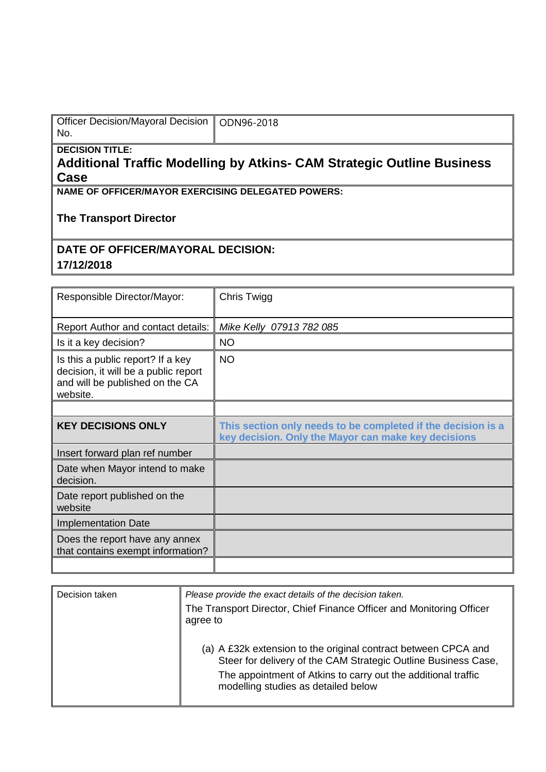| Officer Decision/Mayoral Decision   ODN96-2018 |  |
|------------------------------------------------|--|
| No.                                            |  |

**DECISION TITLE:**

## **Additional Traffic Modelling by Atkins- CAM Strategic Outline Business Case**

**NAME OF OFFICER/MAYOR EXERCISING DELEGATED POWERS:**

## **The Transport Director**

## **DATE OF OFFICER/MAYORAL DECISION:**

**17/12/2018**

| Responsible Director/Mayor:                                                                                              | Chris Twigg                                                                                                         |
|--------------------------------------------------------------------------------------------------------------------------|---------------------------------------------------------------------------------------------------------------------|
| Report Author and contact details:                                                                                       | Mike Kelly 07913 782 085                                                                                            |
| Is it a key decision?                                                                                                    | <b>NO</b>                                                                                                           |
| Is this a public report? If a key<br>decision, it will be a public report<br>and will be published on the CA<br>website. | <b>NO</b>                                                                                                           |
|                                                                                                                          |                                                                                                                     |
| <b>KEY DECISIONS ONLY</b>                                                                                                | This section only needs to be completed if the decision is a<br>key decision. Only the Mayor can make key decisions |
| Insert forward plan ref number                                                                                           |                                                                                                                     |
| Date when Mayor intend to make<br>decision.                                                                              |                                                                                                                     |
| Date report published on the<br>website                                                                                  |                                                                                                                     |
| <b>Implementation Date</b>                                                                                               |                                                                                                                     |
| Does the report have any annex<br>that contains exempt information?                                                      |                                                                                                                     |
|                                                                                                                          |                                                                                                                     |

| Decision taken | Please provide the exact details of the decision taken.                                                                          |
|----------------|----------------------------------------------------------------------------------------------------------------------------------|
|                | The Transport Director, Chief Finance Officer and Monitoring Officer<br>agree to                                                 |
|                | (a) A £32k extension to the original contract between CPCA and<br>Steer for delivery of the CAM Strategic Outline Business Case, |
|                | The appointment of Atkins to carry out the additional traffic<br>modelling studies as detailed below                             |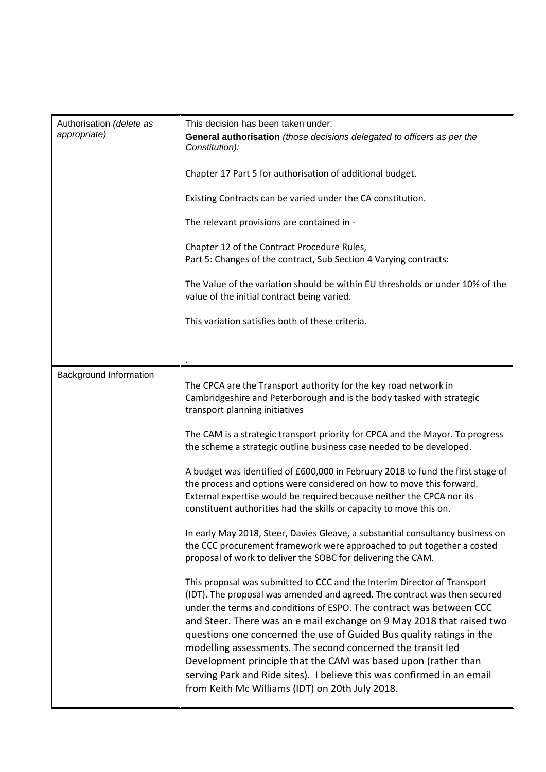| Authorisation (delete as<br>appropriate) | This decision has been taken under:<br>General authorisation (those decisions delegated to officers as per the<br>Constitution):<br>Chapter 17 Part 5 for authorisation of additional budget.<br>Existing Contracts can be varied under the CA constitution.<br>The relevant provisions are contained in -<br>Chapter 12 of the Contract Procedure Rules,<br>Part 5: Changes of the contract, Sub Section 4 Varying contracts:<br>The Value of the variation should be within EU thresholds or under 10% of the<br>value of the initial contract being varied.                                                                                                                                                                                                                                                                                                              |
|------------------------------------------|-----------------------------------------------------------------------------------------------------------------------------------------------------------------------------------------------------------------------------------------------------------------------------------------------------------------------------------------------------------------------------------------------------------------------------------------------------------------------------------------------------------------------------------------------------------------------------------------------------------------------------------------------------------------------------------------------------------------------------------------------------------------------------------------------------------------------------------------------------------------------------|
|                                          | This variation satisfies both of these criteria.                                                                                                                                                                                                                                                                                                                                                                                                                                                                                                                                                                                                                                                                                                                                                                                                                            |
| Background Information                   | The CPCA are the Transport authority for the key road network in<br>Cambridgeshire and Peterborough and is the body tasked with strategic<br>transport planning initiatives<br>The CAM is a strategic transport priority for CPCA and the Mayor. To progress<br>the scheme a strategic outline business case needed to be developed.<br>A budget was identified of £600,000 in February 2018 to fund the first stage of<br>the process and options were considered on how to move this forward.<br>External expertise would be required because neither the CPCA nor its<br>constituent authorities had the skills or capacity to move this on.<br>In early May 2018, Steer, Davies Gleave, a substantial consultancy business on<br>the CCC procurement framework were approached to put together a costed<br>proposal of work to deliver the SOBC for delivering the CAM. |
|                                          | This proposal was submitted to CCC and the Interim Director of Transport<br>(IDT). The proposal was amended and agreed. The contract was then secured<br>under the terms and conditions of ESPO. The contract was between CCC<br>and Steer. There was an e mail exchange on 9 May 2018 that raised two<br>questions one concerned the use of Guided Bus quality ratings in the<br>modelling assessments. The second concerned the transit led<br>Development principle that the CAM was based upon (rather than<br>serving Park and Ride sites). I believe this was confirmed in an email<br>from Keith Mc Williams (IDT) on 20th July 2018.                                                                                                                                                                                                                                |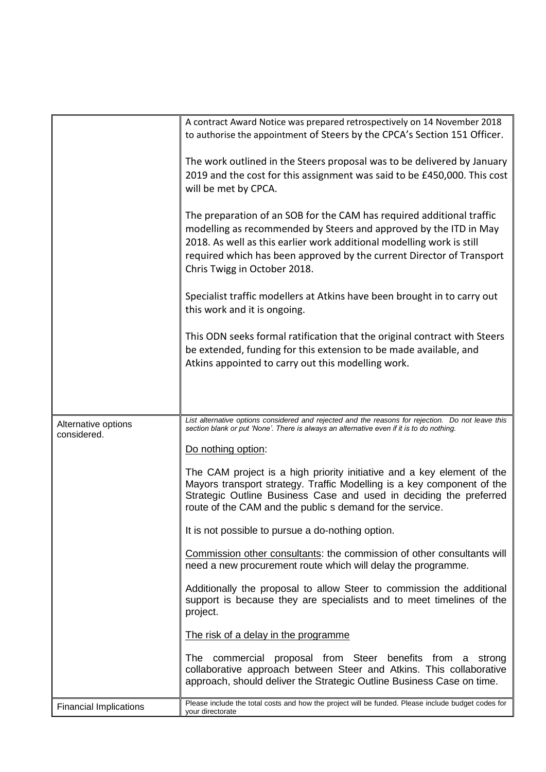|                                    | A contract Award Notice was prepared retrospectively on 14 November 2018                                                                                                                                                                                                                                                     |
|------------------------------------|------------------------------------------------------------------------------------------------------------------------------------------------------------------------------------------------------------------------------------------------------------------------------------------------------------------------------|
|                                    | to authorise the appointment of Steers by the CPCA's Section 151 Officer.                                                                                                                                                                                                                                                    |
|                                    | The work outlined in the Steers proposal was to be delivered by January<br>2019 and the cost for this assignment was said to be £450,000. This cost<br>will be met by CPCA.                                                                                                                                                  |
|                                    | The preparation of an SOB for the CAM has required additional traffic<br>modelling as recommended by Steers and approved by the ITD in May<br>2018. As well as this earlier work additional modelling work is still<br>required which has been approved by the current Director of Transport<br>Chris Twigg in October 2018. |
|                                    | Specialist traffic modellers at Atkins have been brought in to carry out<br>this work and it is ongoing.                                                                                                                                                                                                                     |
|                                    | This ODN seeks formal ratification that the original contract with Steers<br>be extended, funding for this extension to be made available, and<br>Atkins appointed to carry out this modelling work.                                                                                                                         |
|                                    |                                                                                                                                                                                                                                                                                                                              |
| Alternative options<br>considered. | List alternative options considered and rejected and the reasons for rejection. Do not leave this<br>section blank or put 'None'. There is always an alternative even if it is to do nothing.                                                                                                                                |
|                                    | Do nothing option:                                                                                                                                                                                                                                                                                                           |
|                                    | The CAM project is a high priority initiative and a key element of the<br>Mayors transport strategy. Traffic Modelling is a key component of the<br>Strategic Outline Business Case and used in deciding the preferred<br>route of the CAM and the public s demand for the service.                                          |
|                                    | It is not possible to pursue a do-nothing option.                                                                                                                                                                                                                                                                            |
|                                    | Commission other consultants: the commission of other consultants will<br>need a new procurement route which will delay the programme.                                                                                                                                                                                       |
|                                    | Additionally the proposal to allow Steer to commission the additional<br>support is because they are specialists and to meet timelines of the<br>project.                                                                                                                                                                    |
|                                    | The risk of a delay in the programme                                                                                                                                                                                                                                                                                         |
|                                    | The commercial proposal from Steer benefits from a strong<br>collaborative approach between Steer and Atkins. This collaborative<br>approach, should deliver the Strategic Outline Business Case on time.                                                                                                                    |
| <b>Financial Implications</b>      | Please include the total costs and how the project will be funded. Please include budget codes for<br>your directorate                                                                                                                                                                                                       |